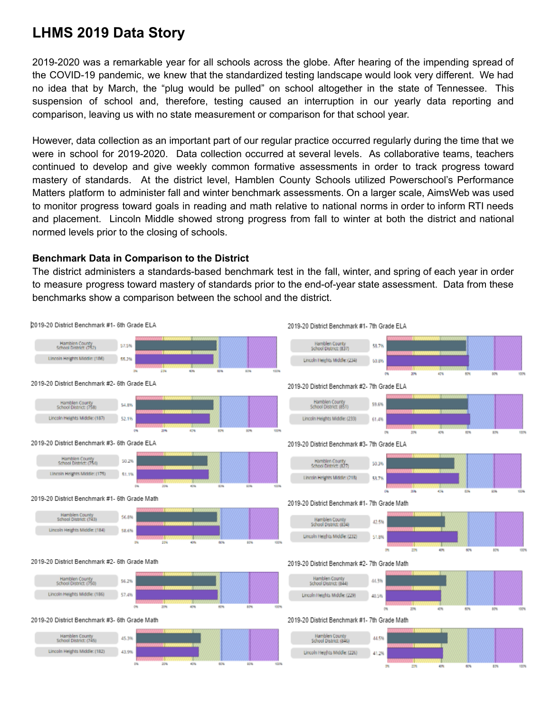## **LHMS 2019 Data Story**

2019-2020 was a remarkable year for all schools across the globe. After hearing of the impending spread of the COVID-19 pandemic, we knew that the standardized testing landscape would look very different. We had no idea that by March, the "plug would be pulled" on school altogether in the state of Tennessee. This suspension of school and, therefore, testing caused an interruption in our yearly data reporting and comparison, leaving us with no state measurement or comparison for that school year.

However, data collection as an important part of our regular practice occurred regularly during the time that we were in school for 2019-2020. Data collection occurred at several levels. As collaborative teams, teachers continued to develop and give weekly common formative assessments in order to track progress toward mastery of standards. At the district level, Hamblen County Schools utilized Powerschool's Performance Matters platform to administer fall and winter benchmark assessments. On a larger scale, AimsWeb was used to monitor progress toward goals in reading and math relative to national norms in order to inform RTI needs and placement. Lincoln Middle showed strong progress from fall to winter at both the district and national normed levels prior to the closing of schools.

## **Benchmark Data in Comparison to the District**

The district administers a standards-based benchmark test in the fall, winter, and spring of each year in order to measure progress toward mastery of standards prior to the end-of-year state assessment. Data from these benchmarks show a comparison between the school and the district.

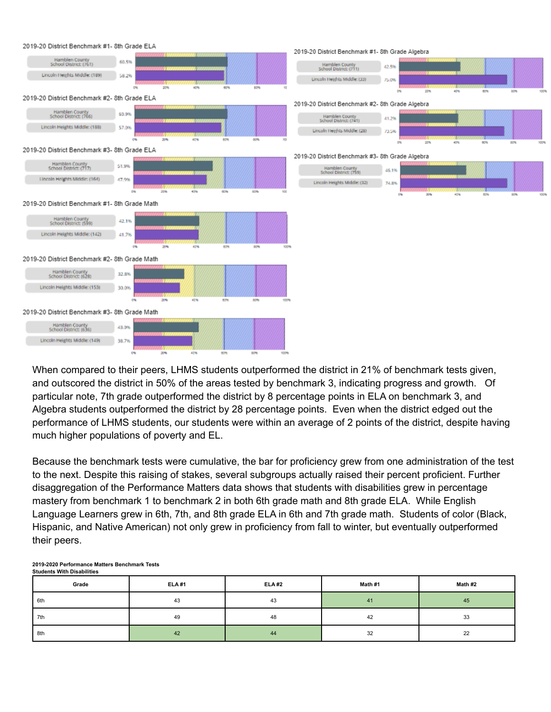

When compared to their peers, LHMS students outperformed the district in 21% of benchmark tests given, and outscored the district in 50% of the areas tested by benchmark 3, indicating progress and growth. Of particular note, 7th grade outperformed the district by 8 percentage points in ELA on benchmark 3, and Algebra students outperformed the district by 28 percentage points. Even when the district edged out the performance of LHMS students, our students were within an average of 2 points of the district, despite having much higher populations of poverty and EL.

Because the benchmark tests were cumulative, the bar for proficiency grew from one administration of the test to the next. Despite this raising of stakes, several subgroups actually raised their percent proficient. Further disaggregation of the Performance Matters data shows that students with disabilities grew in percentage mastery from benchmark 1 to benchmark 2 in both 6th grade math and 8th grade ELA. While English Language Learners grew in 6th, 7th, and 8th grade ELA in 6th and 7th grade math. Students of color (Black, Hispanic, and Native American) not only grew in proficiency from fall to winter, but eventually outperformed their peers.

| Grade | <b>ELA#1</b> | <b>ELA #2</b> | Math #1 | Math #2 |
|-------|--------------|---------------|---------|---------|
| 6th   | 43           | 43            | 41      | 45      |
| 7th   | 49           | 48            | 42      | 33      |
| 8th   | 42           | 44            | 32      | つつ<br>" |

## **2019-2020 Performance Matters Benchmark Tests Students With Disabilities**